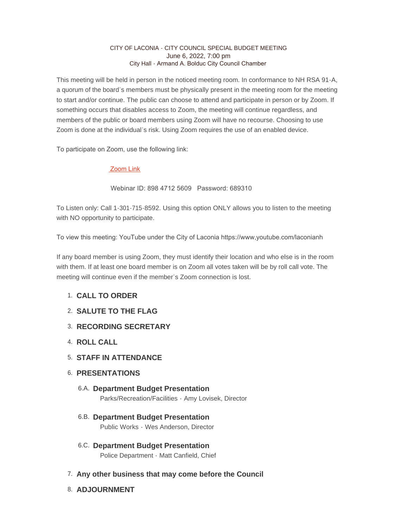## CITY OF LACONIA - CITY COUNCIL SPECIAL BUDGET MEETING June 6, 2022, 7:00 pm City Hall - Armand A. Bolduc City Council Chamber

This meeting will be held in person in the noticed meeting room. In conformance to NH RSA 91-A, a quorum of the board's members must be physically present in the meeting room for the meeting to start and/or continue. The public can choose to attend and participate in person or by Zoom. If something occurs that disables access to Zoom, the meeting will continue regardless, and members of the public or board members using Zoom will have no recourse. Choosing to use Zoom is done at the individual's risk. Using Zoom requires the use of an enabled device.

To participate on Zoom, use the following link:

## [Zoom Link](https://us02web.zoom.us/j/89847125609?pwd=dDAwT0ZKOVV1OUkzY2x4dHdjcFNwdz09)

Webinar ID: 898 4712 5609 Password: 689310

To Listen only: Call 1-301-715-8592. Using this option ONLY allows you to listen to the meeting with NO opportunity to participate.

To view this meeting: YouTube under the City of Laconia https://www,youtube.com/laconianh

If any board member is using Zoom, they must identify their location and who else is in the room with them. If at least one board member is on Zoom all votes taken will be by roll call vote. The meeting will continue even if the member's Zoom connection is lost.

## **CALL TO ORDER**  1.

- **SALUTE TO THE FLAG** 2.
- **RECORDING SECRETARY** 3.
- **ROLL CALL** 4.
- **STAFF IN ATTENDANCE** 5.
- **PRESENTATIONS** 6.
	- **Department Budget Presentation** 6.A. Parks/Recreation/Facilities - Amy Lovisek, Director
	- **Department Budget Presentation** 6.B. Public Works - Wes Anderson, Director
	- **Department Budget Presentation** 6.C. Police Department - Matt Canfield, Chief
- **Any other business that may come before the Council** 7.
- **ADJOURNMENT** 8.